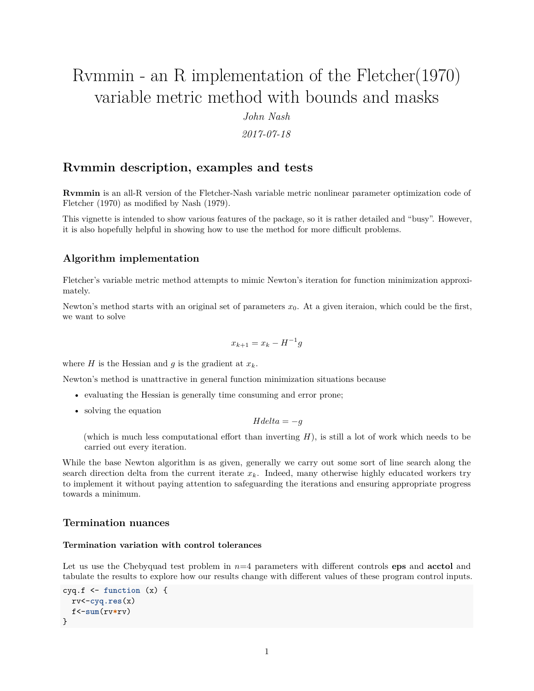# Rvmmin - an R implementation of the Fletcher(1970) variable metric method with bounds and masks

*John Nash*

*2017-07-18*

# **Rvmmin description, examples and tests**

**Rvmmin** is an all-R version of the Fletcher-Nash variable metric nonlinear parameter optimization code of Fletcher (1970) as modified by Nash (1979).

This vignette is intended to show various features of the package, so it is rather detailed and "busy". However, it is also hopefully helpful in showing how to use the method for more difficult problems.

## **Algorithm implementation**

Fletcher's variable metric method attempts to mimic Newton's iteration for function minimization approximately.

Newton's method starts with an original set of parameters  $x_0$ . At a given iteraion, which could be the first, we want to solve

$$
x_{k+1} = x_k - H^{-1}g
$$

where *H* is the Hessian and *g* is the gradient at  $x_k$ .

Newton's method is unattractive in general function minimization situations because

- evaluating the Hessian is generally time consuming and error prone;
- solving the equation

 $Hdelta = -q$ 

(which is much less computational effort than inverting *H*), is still a lot of work which needs to be carried out every iteration.

While the base Newton algorithm is as given, generally we carry out some sort of line search along the search direction delta from the current iterate *xk*. Indeed, many otherwise highly educated workers try to implement it without paying attention to safeguarding the iterations and ensuring appropriate progress towards a minimum.

## **Termination nuances**

### **Termination variation with control tolerances**

Let us use the Chebyquad test problem in  $n=4$  parameters with different controls **eps** and **acctol** and tabulate the results to explore how our results change with different values of these program control inputs.

```
cyq.f \le function (x) {
 rv<-cyq.res(x)
  f<-sum(rv*rv)
}
```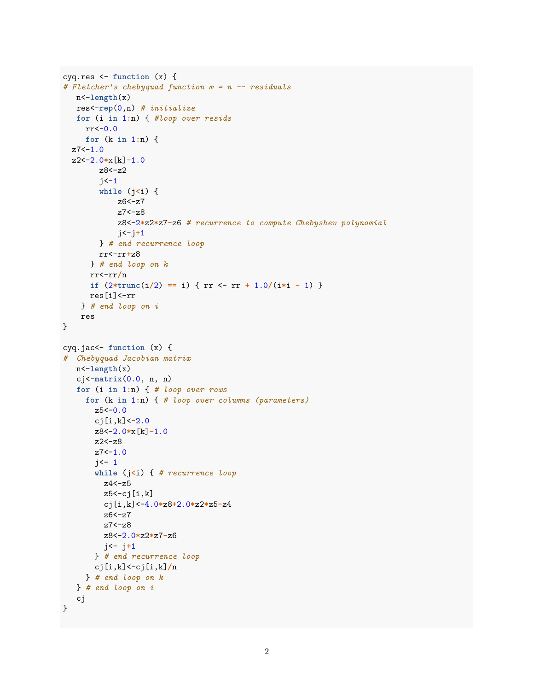```
cyq.res <- function (x) {
# Fletcher's chebyquad function m = n -- residuals
  n<-length(x)
  res<-rep(0,n) # initialize
  for (i in 1:n) { #loop over resids
     rr<-0.0
     for (k in 1:n) {
  z7 < -1.0z2<-2.0*x[k]-1.0
        z8<-z2
        j < -1while (j<i) {
            z6<-z7
            z7<-z8
            z8<-2*z2*z7-z6 # recurrence to compute Chebyshev polynomial
            j<-j+1
        } # end recurrence loop
        rr<-rr+z8
      } # end loop on k
      rr<-rr/n
      if (2*trunc(i/2) == i) { rr <- rr + 1.0/(i*i - 1) }
     res[i]<-rr
    } # end loop on i
    res
}
cyq.jac<- function (x) {
# Chebyquad Jacobian matrix
  n<-length(x)
   cj<-matrix(0.0, n, n)
   for (i in 1:n) { # loop over rows
     for (k in 1:n) { # loop over columns (parameters)
       z5 < -0.0c_j[i,k] < -2.0z8<-2.0*x[k]-1.0
       z2<-z8
       z7 < -1.0i \leftarrow 1while (j<i) { # recurrence loop
         z4<-z5
         z5<-cj[i,k]
         cj[i,k]<-4.0*z8+2.0*z2*z5-z4
         z6<-z7
         z7<-z8
         z8<-2.0*z2*z7-z6
         j<- j+1
       } # end recurrence loop
       cj[i,k]<-cj[i,k]/n
     } # end loop on k
   } # end loop on i
   cj
}
```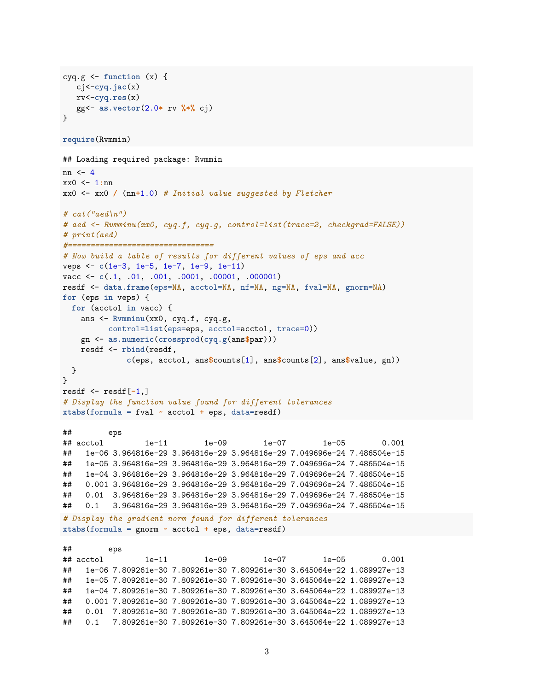```
cyq.g <- function (x) {
  cj<-cyq.jac(x)
  rv<-cyq.res(x)
  gg<- as.vector(2.0* rv %*% cj)
}
require(Rvmmin)
## Loading required package: Rvmmin
nn <- 4
xx0 <- 1:nn
xx0 <- xx0 / (nn+1.0) # Initial value suggested by Fletcher
# cat("aed\n")
# aed <- Rvmminu(xx0, cyq.f, cyq.g, control=list(trace=2, checkgrad=FALSE))
# print(aed)
#================================
# Now build a table of results for different values of eps and acc
veps <- c(1e-3, 1e-5, 1e-7, 1e-9, 1e-11)
vacc <- c(.1, .01, .001, .0001, .00001, .000001)
resdf <- data.frame(eps=NA, acctol=NA, nf=NA, ng=NA, fval=NA, gnorm=NA)
for (eps in veps) {
 for (acctol in vacc) {
   ans <- Rvmminu(xx0, cyq.f, cyq.g,
         control=list(eps=eps, acctol=acctol, trace=0))
   gn <- as.numeric(crossprod(cyq.g(ans$par)))
   resdf <- rbind(resdf,
             c(eps, acctol, ans$counts[1], ans$counts[2], ans$value, gn))
 }
}
resdf <- resdf[-1,]
# Display the function value found for different tolerances
xtabs(formula = fval ~ acctol + eps, data=resdf)
## eps
## acctol 1e-11 1e-09 1e-07 1e-05 0.001
## 1e-06 3.964816e-29 3.964816e-29 3.964816e-29 7.049696e-24 7.486504e-15
## 1e-05 3.964816e-29 3.964816e-29 3.964816e-29 7.049696e-24 7.486504e-15
## 1e-04 3.964816e-29 3.964816e-29 3.964816e-29 7.049696e-24 7.486504e-15
## 0.001 3.964816e-29 3.964816e-29 3.964816e-29 7.049696e-24 7.486504e-15
## 0.01 3.964816e-29 3.964816e-29 3.964816e-29 7.049696e-24 7.486504e-15
## 0.1 3.964816e-29 3.964816e-29 3.964816e-29 7.049696e-24 7.486504e-15
# Display the gradient norm found for different tolerances
xtabs(formula = gnorm ~ acctol + eps, data=resdf)
## eps
## acctol 1e-11 1e-09 1e-07 1e-05 0.001
## 1e-06 7.809261e-30 7.809261e-30 7.809261e-30 3.645064e-22 1.089927e-13
## 1e-05 7.809261e-30 7.809261e-30 7.809261e-30 3.645064e-22 1.089927e-13
## 1e-04 7.809261e-30 7.809261e-30 7.809261e-30 3.645064e-22 1.089927e-13
## 0.001 7.809261e-30 7.809261e-30 7.809261e-30 3.645064e-22 1.089927e-13
## 0.01 7.809261e-30 7.809261e-30 7.809261e-30 3.645064e-22 1.089927e-13
## 0.1 7.809261e-30 7.809261e-30 7.809261e-30 3.645064e-22 1.089927e-13
```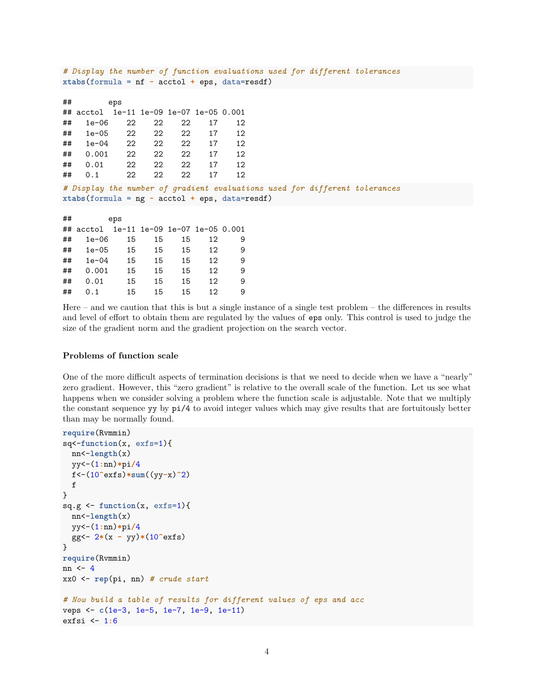| # Display the number of function evaluations used for different tolerances<br>xtabs (formula = $nf \sim \text{acctol} + \text{eps}$ , data=resdf) |                                         |          |    |    |    |    |  |  |  |  |
|---------------------------------------------------------------------------------------------------------------------------------------------------|-----------------------------------------|----------|----|----|----|----|--|--|--|--|
|                                                                                                                                                   |                                         |          |    |    |    |    |  |  |  |  |
| ##                                                                                                                                                |                                         | eps      |    |    |    |    |  |  |  |  |
|                                                                                                                                                   | ## acctol 1e-11 1e-09 1e-07 1e-05 0.001 |          |    |    |    |    |  |  |  |  |
| ##                                                                                                                                                | $1e-06$                                 | 22       | 22 | 22 | 17 | 12 |  |  |  |  |
| ##                                                                                                                                                |                                         | 1e-05 22 | 22 | 22 | 17 | 12 |  |  |  |  |
| ##                                                                                                                                                | 1e-04                                   | 22       | 22 | 22 | 17 | 12 |  |  |  |  |
| ##                                                                                                                                                | 0.001 22                                |          | 22 | 22 | 17 | 12 |  |  |  |  |
| ##                                                                                                                                                | 0.01                                    | 22       | 22 | 22 | 17 | 12 |  |  |  |  |
| ##                                                                                                                                                | 0.1                                     | 22       | 22 | 22 | 17 | 12 |  |  |  |  |
| # Display the number of gradient evaluations used for different tolerances                                                                        |                                         |          |    |    |    |    |  |  |  |  |
| xtabs(formula = $ng \sim \text{acctol} + \text{eps}$ , data=resdf)                                                                                |                                         |          |    |    |    |    |  |  |  |  |
|                                                                                                                                                   |                                         |          |    |    |    |    |  |  |  |  |
| ##                                                                                                                                                |                                         | eps      |    |    |    |    |  |  |  |  |
|                                                                                                                                                   | ## acctol 1e-11 1e-09 1e-07 1e-05 0.001 |          |    |    |    |    |  |  |  |  |
| ##                                                                                                                                                | $1e-06$                                 | 15       | 15 | 15 | 12 | 9  |  |  |  |  |
| ##                                                                                                                                                |                                         | 1e-05 15 | 15 | 15 | 12 | 9  |  |  |  |  |
| ##                                                                                                                                                | 1e-04                                   | 15       | 15 | 15 | 12 | 9  |  |  |  |  |
| ##                                                                                                                                                | 0.001                                   | 15       | 15 | 15 | 12 | 9  |  |  |  |  |

Here – and we caution that this is but a single instance of a single test problem – the differences in results and level of effort to obtain them are regulated by the values of eps only. This control is used to judge the size of the gradient norm and the gradient projection on the search vector.

#### **Problems of function scale**

## 0.01 15 15 15 12 9 ## 0.1 15 15 15 12 9

One of the more difficult aspects of termination decisions is that we need to decide when we have a "nearly" zero gradient. However, this "zero gradient" is relative to the overall scale of the function. Let us see what happens when we consider solving a problem where the function scale is adjustable. Note that we multiply the constant sequence yy by pi/4 to avoid integer values which may give results that are fortuitously better than may be normally found.

```
require(Rvmmin)
sq<-function(x, exfs=1){
  nn<-length(x)
  yy<-(1:nn)*pi/4
  f<-(10^exfs)*sum((yy-x)^2)
  f
}
sq.g \leftarrow function(x, exfs=1)nn<-length(x)
  yy<-(1:nn)*pi/4
  gg<- 2*(x - yy)*(10^exfs)
}
require(Rvmmin)
nn <- 4
xx0 <- rep(pi, nn) # crude start
# Now build a table of results for different values of eps and acc
veps <- c(1e-3, 1e-5, 1e-7, 1e-9, 1e-11)
exfsi <- 1:6
```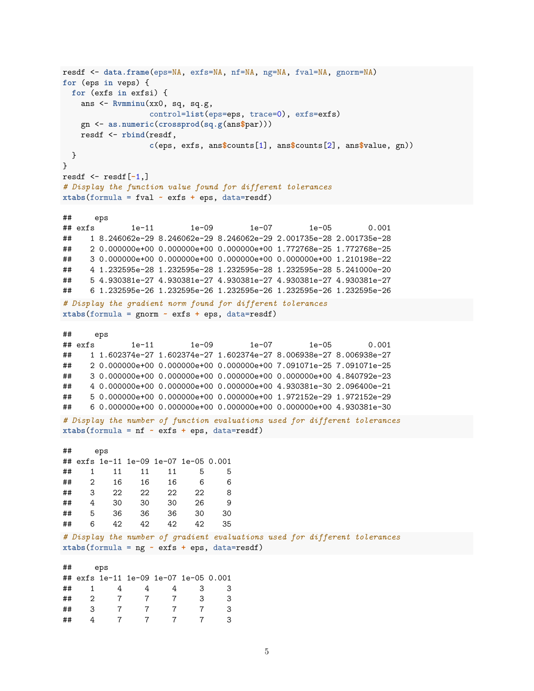```
resdf <- data.frame(eps=NA, exfs=NA, nf=NA, ng=NA, fval=NA, gnorm=NA)
for (eps in veps) {
 for (exfs in exfsi) {
   ans <- Rvmminu(xx0, sq, sq.g,
                control=list(eps=eps, trace=0), exfs=exfs)
   gn <- as.numeric(crossprod(sq.g(ans$par)))
   resdf <- rbind(resdf,
                c(eps, exfs, ans$counts[1], ans$counts[2], ans$value, gn))
 }
}
resdf <- resdf[-1,]
# Display the function value found for different tolerances
xtabs(formula = fval ~ exfs + eps, data=resdf)
## eps
## exfs 1e-11 1e-09 1e-07 1e-05 0.001
## 1 8.246062e-29 8.246062e-29 8.246062e-29 2.001735e-28 2.001735e-28
## 2 0.000000e+00 0.000000e+00 0.000000e+00 1.772768e-25 1.772768e-25
## 3 0.000000e+00 0.000000e+00 0.000000e+00 0.000000e+00 1.210198e-22
## 4 1.232595e-28 1.232595e-28 1.232595e-28 1.232595e-28 5.241000e-20
## 5 4.930381e-27 4.930381e-27 4.930381e-27 4.930381e-27 4.930381e-27
## 6 1.232595e-26 1.232595e-26 1.232595e-26 1.232595e-26 1.232595e-26
# Display the gradient norm found for different tolerances
xtabs(formula = gnorm ~ exfs + eps, data=resdf)
## eps
## exfs 1e-11 1e-09 1e-07 1e-05 0.001
## 1 1.602374e-27 1.602374e-27 1.602374e-27 8.006938e-27 8.006938e-27
## 2 0.000000e+00 0.000000e+00 0.000000e+00 7.091071e-25 7.091071e-25
## 3 0.000000e+00 0.000000e+00 0.000000e+00 0.000000e+00 4.840792e-23
## 4 0.000000e+00 0.000000e+00 0.000000e+00 4.930381e-30 2.096400e-21
## 5 0.000000e+00 0.000000e+00 0.000000e+00 1.972152e-29 1.972152e-29
## 6 0.000000e+00 0.000000e+00 0.000000e+00 0.000000e+00 4.930381e-30
# Display the number of function evaluations used for different tolerances
xtabs(formula = nf \sim exfs + eps, data=resdf)
## eps
## exfs 1e-11 1e-09 1e-07 1e-05 0.001
## 1 11 11 11 5 5
## 2 16 16 16 6 6
## 3 22 22 22 22 8
## 4 30 30 30 26 9
## 5 36 36 36 30 30
## 6 42 42 42 42 35
# Display the number of gradient evaluations used for different tolerances
xtabs(formula = ng ~ exfs + eps, data=resdf)
## eps
## exfs 1e-11 1e-09 1e-07 1e-05 0.001
## 1 4 4 4 3 3
## 2 7 7 7 3 3
## 3 7 7 7 7 3
## 4 7 7 7 7 3
```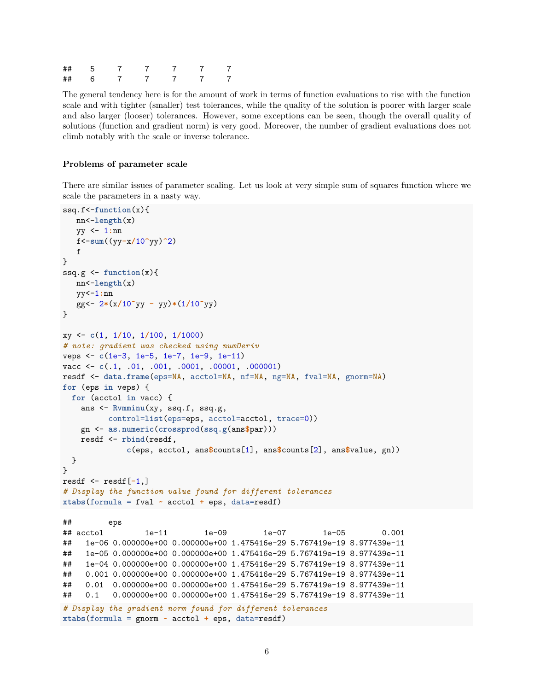| ## | . ხ |  |  | 7 |
|----|-----|--|--|---|
| ## |     |  |  | 7 |

The general tendency here is for the amount of work in terms of function evaluations to rise with the function scale and with tighter (smaller) test tolerances, while the quality of the solution is poorer with larger scale and also larger (looser) tolerances. However, some exceptions can be seen, though the overall quality of solutions (function and gradient norm) is very good. Moreover, the number of gradient evaluations does not climb notably with the scale or inverse tolerance.

#### **Problems of parameter scale**

There are similar issues of parameter scaling. Let us look at very simple sum of squares function where we scale the parameters in a nasty way.

```
ssq.f<-function(x){
  nn<-length(x)
  yy <- 1:nn
  f<-sum((yy-x/10^yy)^2)
  f
}
ssq.g <- function(x){
  nn<-length(x)
  yy<-1:nn
  gg<- 2*(x/10^yy - yy)*(1/10^yy)
}
xy <- c(1, 1/10, 1/100, 1/1000)
# note: gradient was checked using numDeriv
veps <- c(1e-3, 1e-5, 1e-7, 1e-9, 1e-11)
vacc <- c(.1, .01, .001, .0001, .00001, .000001)
resdf <- data.frame(eps=NA, acctol=NA, nf=NA, ng=NA, fval=NA, gnorm=NA)
for (eps in veps) {
 for (acctol in vacc) {
   ans <- Rvmminu(xy, ssq.f, ssq.g,
         control=list(eps=eps, acctol=acctol, trace=0))
   gn <- as.numeric(crossprod(ssq.g(ans$par)))
   resdf <- rbind(resdf,
             c(eps, acctol, ans$counts[1], ans$counts[2], ans$value, gn))
 }
}
resdf <- resdf[-1,]
# Display the function value found for different tolerances
xtabs(formula = fval ~ acctol + eps, data=resdf)
## eps
## acctol 1e-11 1e-09 1e-07 1e-05 0.001
## 1e-06 0.000000e+00 0.000000e+00 1.475416e-29 5.767419e-19 8.977439e-11
## 1e-05 0.000000e+00 0.000000e+00 1.475416e-29 5.767419e-19 8.977439e-11
## 1e-04 0.000000e+00 0.000000e+00 1.475416e-29 5.767419e-19 8.977439e-11
## 0.001 0.000000e+00 0.000000e+00 1.475416e-29 5.767419e-19 8.977439e-11
## 0.01 0.000000e+00 0.000000e+00 1.475416e-29 5.767419e-19 8.977439e-11
## 0.1 0.000000e+00 0.000000e+00 1.475416e-29 5.767419e-19 8.977439e-11
# Display the gradient norm found for different tolerances
xtabs(formula = gnorm ~ acctol + eps, data=resdf)
```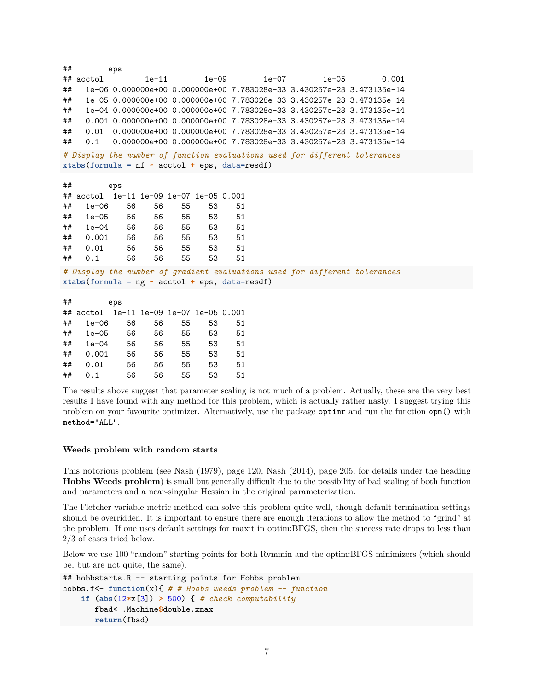```
## eps
## acctol 1e-11 1e-09 1e-07 1e-05 0.001
## 1e-06 0.000000e+00 0.000000e+00 7.783028e-33 3.430257e-23 3.473135e-14
## 1e-05 0.000000e+00 0.000000e+00 7.783028e-33 3.430257e-23 3.473135e-14
## 1e-04 0.000000e+00 0.000000e+00 7.783028e-33 3.430257e-23 3.473135e-14
## 0.001 0.000000e+00 0.000000e+00 7.783028e-33 3.430257e-23 3.473135e-14
## 0.01 0.000000e+00 0.000000e+00 7.783028e-33 3.430257e-23 3.473135e-14
## 0.1 0.000000e+00 0.000000e+00 7.783028e-33 3.430257e-23 3.473135e-14
# Display the number of function evaluations used for different tolerances
xtabs(formula = nf ~ acctol + eps, data=resdf)
## eps
## acctol 1e-11 1e-09 1e-07 1e-05 0.001
## 1e-06 56 56 55 53 51
## 1e-05 56 56 55 53 51
## 1e-04 56 56 55 53 51
## 0.001 56 56 55 53 51
## 0.01 56 56 55 53 51
## 0.1 56 56 55 53 51
# Display the number of gradient evaluations used for different tolerances
xtabs(formula = ng ~ acctol + eps, data=resdf)
## eps
## acctol 1e-11 1e-09 1e-07 1e-05 0.001
## 1e-06 56 56 55 53 51
## 1e-05 56 56 55 53 51
## 1e-04 56 56 55 53 51
## 0.001 56 56 55 53 51
## 0.01 56 56 55 53 51
## 0.1 56 56 55 53 51
```
The results above suggest that parameter scaling is not much of a problem. Actually, these are the very best results I have found with any method for this problem, which is actually rather nasty. I suggest trying this problem on your favourite optimizer. Alternatively, use the package optimr and run the function opm() with method="ALL".

#### **Weeds problem with random starts**

This notorious problem (see Nash (1979), page 120, Nash (2014), page 205, for details under the heading **Hobbs Weeds problem**) is small but generally difficult due to the possibility of bad scaling of both function and parameters and a near-singular Hessian in the original parameterization.

The Fletcher variable metric method can solve this problem quite well, though default termination settings should be overridden. It is important to ensure there are enough iterations to allow the method to "grind" at the problem. If one uses default settings for maxit in optim:BFGS, then the success rate drops to less than 2/3 of cases tried below.

Below we use 100 "random" starting points for both Rvmmin and the optim:BFGS minimizers (which should be, but are not quite, the same).

```
## hobbstarts.R -- starting points for Hobbs problem
hobbs.f<- function(x){ # # Hobbs weeds problem -- function
    if (abs(12*x[3]) > 500) { # check computability
       fbad<-.Machine$double.xmax
       return(fbad)
```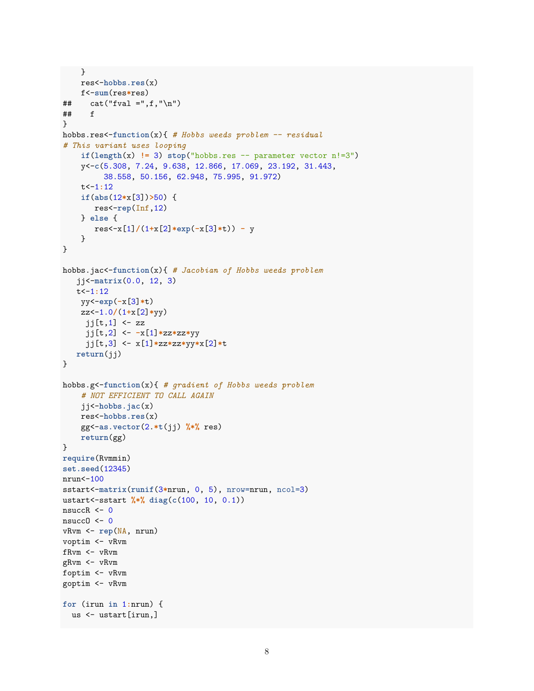```
}
    res<-hobbs.res(x)
    f<-sum(res*res)
\## cat("fval =",f,"\n")
## f
}
hobbs.res<-function(x){ # Hobbs weeds problem -- residual
# This variant uses looping
    if(length(x) != 3) stop("hobs.res -- parameter vector n!=3")y<-c(5.308, 7.24, 9.638, 12.866, 17.069, 23.192, 31.443,
         38.558, 50.156, 62.948, 75.995, 91.972)
    t<-1:12
    if(abs(12*x[3])>50) {
       res<-rep(Inf,12)
   } else {
      res<-x[1]/(1+x[2]*exp(-x[3]*t)) - y
    }
}
hobbs.jac<-function(x){ # Jacobian of Hobbs weeds problem
   jj<-matrix(0.0, 12, 3)
  t<-1:12
   yy<-exp(-x[3]*t)
    zz<-1.0/(1+x[2]*yy)
    jj[t,1] <- zz
    jj[t,2] <- -x[1]*zz*zz*yy
     jj[t,3] <- x[1]*zz*zz*yy*x[2]*t
  return(jj)
}
hobbs.g<-function(x){ # gradient of Hobbs weeds problem
    # NOT EFFICIENT TO CALL AGAIN
   jj<-hobbs.jac(x)
   res<-hobbs.res(x)
    gg<-as.vector(2.*t(jj) %*% res)
    return(gg)
}
require(Rvmmin)
set.seed(12345)
nrun<-100
sstart<-matrix(runif(3*nrun, 0, 5), nrow=nrun, ncol=3)
ustart<-sstart %*% diag(c(100, 10, 0.1))
nsuccR \leftarrow 0nsucc0 < -0vRvm <- rep(NA, nrun)
voptim <- vRvm
fRvm <- vRvm
gRvm <- vRvm
foptim <- vRvm
goptim <- vRvm
for (irun in 1:nrun) {
 us <- ustart[irun,]
```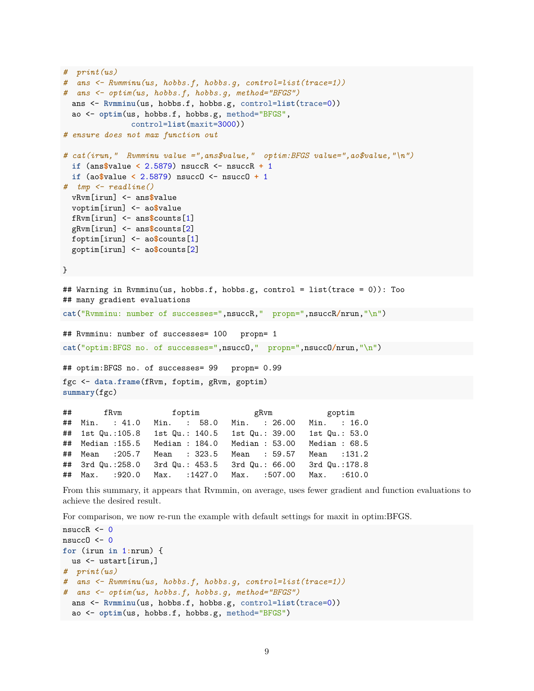```
# print(us)
# ans <- Rvmminu(us, hobbs.f, hobbs.g, control=list(trace=1))
# ans <- optim(us, hobbs.f, hobbs.g, method="BFGS")
 ans <- Rvmminu(us, hobbs.f, hobbs.g, control=list(trace=0))
 ao <- optim(us, hobbs.f, hobbs.g, method="BFGS",
              control=list(maxit=3000))
# ensure does not max function out
# cat(irun," Rvmminu value =",ans$value," optim:BFGS value=",ao$value,"\n")
 if (ans$value < 2.5879) nsuccR <- nsuccR + 1
 if (ao$value < 2.5879) nsuccO <- nsuccO + 1
# tmp <- readline()
 vRvm[irun] <- ans$value
 voptim[irun] <- ao$value
 fRvm[irun] <- ans$counts[1]
 gRvm[irun] <- ans$counts[2]
 foptim[irun] <- ao$counts[1]
 goptim[irun] <- ao$counts[2]
}
## Warning in Rvmminu(us, hobbs.f, hobbs.g, control = list(trace = 0)): Too
## many gradient evaluations
cat("Rvmminu: number of successes=",nsuccR," propn=",nsuccR/nrun,"\n")
## Rvmminu: number of successes= 100 propn= 1
cat("optim:BFGS no. of successes=",nsuccO," propn=",nsuccO/nrun,"\n")
## optim:BFGS no. of successes= 99 propn= 0.99
fgc <- data.frame(fRvm, foptim, gRvm, goptim)
summary(fgc)
## fRvm foptim gRvm goptim
## Min. : 41.0 Min. : 58.0 Min. : 26.00 Min. : 16.0
## 1st Qu.:105.8 1st Qu.: 140.5 1st Qu.: 39.00 1st Qu.: 53.0
## Median :155.5 Median : 184.0 Median : 53.00 Median : 68.5
## Mean :205.7 Mean : 323.5 Mean : 59.57 Mean :131.2
## 3rd Qu.:258.0 3rd Qu.: 453.5 3rd Qu.: 66.00 3rd Qu.:178.8
## Max. :920.0 Max. :1427.0 Max. :507.00 Max. :610.0
```
From this summary, it appears that Rvmmin, on average, uses fewer gradient and function evaluations to achieve the desired result.

For comparison, we now re-run the example with default settings for maxit in optim:BFGS.

```
nsuccR \leftarrow 0
nsucc0 \leftarrow 0for (irun in 1:nrun) {
 us <- ustart[irun,]
# print(us)
# ans <- Rvmminu(us, hobbs.f, hobbs.g, control=list(trace=1))
# ans <- optim(us, hobbs.f, hobbs.g, method="BFGS")
 ans <- Rvmminu(us, hobbs.f, hobbs.g, control=list(trace=0))
 ao <- optim(us, hobbs.f, hobbs.g, method="BFGS")
```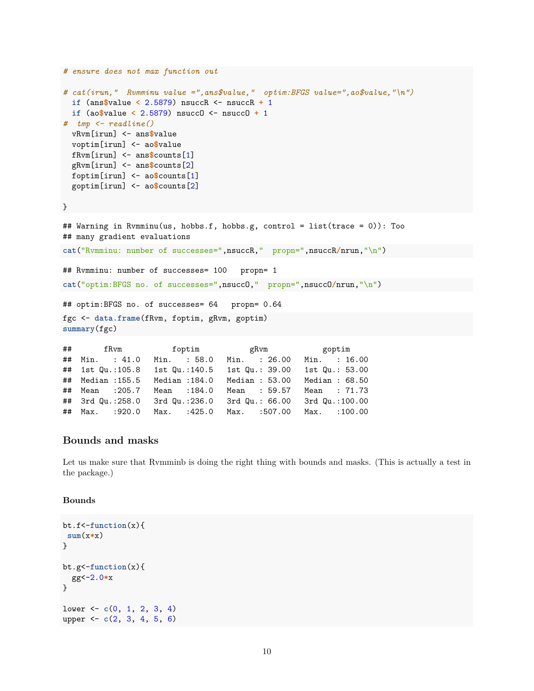```
# ensure does not max function out
# cat(irun," Rvmminu value =",ans$value," optim:BFGS value=",ao$value,"\n")
 if (ans$value < 2.5879) nsuccR <- nsuccR + 1
 if (ao$value < 2.5879) nsuccO <- nsuccO + 1
# tmp <- readline()
 vRvm[irun] <- ans$value
 voptim[irun] <- ao$value
 fRvm[irun] <- ans$counts[1]
 gRvm[irun] <- ans$counts[2]
 foptim[irun] <- ao$counts[1]
 goptim[irun] <- ao$counts[2]
}
## Warning in Rvmminu(us, hobbs.f, hobbs.g, control = list(trace = 0)): Too
## many gradient evaluations
cat("Rvmminu: number of successes=",nsuccR," propn=",nsuccR/nrun,"\n")
## Rvmminu: number of successes= 100 propn= 1
cat("optim:BFGS no. of successes=",nsuccO," propn=",nsuccO/nrun,"\n")
## optim:BFGS no. of successes= 64 propn= 0.64
fgc <- data.frame(fRvm, foptim, gRvm, goptim)
summary(fgc)
## fRvm foptim gRvm goptim
## Min. : 41.0 Min. : 58.0 Min. : 26.00 Min. : 16.00
## 1st Qu.:105.8 1st Qu.:140.5 1st Qu.: 39.00 1st Qu.: 53.00
## Median :155.5 Median :184.0 Median : 53.00 Median : 68.50
```
## ## Mean :205.7 Mean :184.0 Mean : 59.57 Mean : 71.73 ## 3rd Qu.:258.0 3rd Qu.:236.0 3rd Qu.: 66.00 3rd Qu.:100.00 ## Max. :920.0 Max. :425.0 Max. :507.00 Max. :100.00

## **Bounds and masks**

Let us make sure that Rymminb is doing the right thing with bounds and masks. (This is actually a test in the package.)

#### **Bounds**

```
bt.f<-function(x){
sum(x*x)
}
bt.g<-function(x){
 gg<-2.0*x
}
lower <- c(0, 1, 2, 3, 4)
upper <- c(2, 3, 4, 5, 6)
```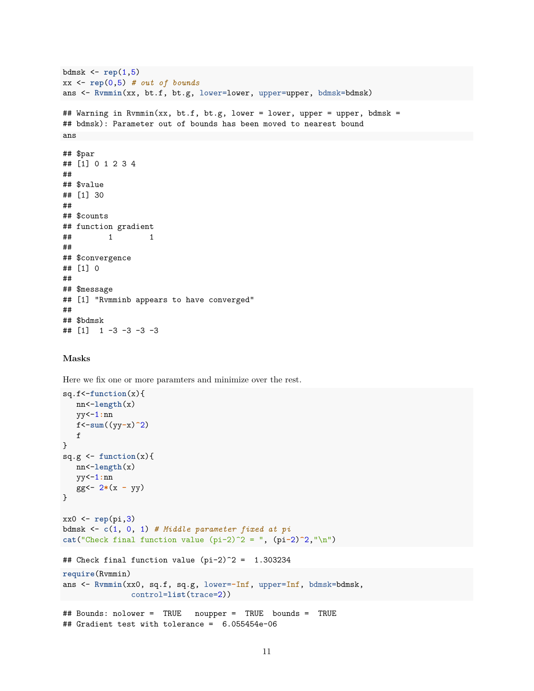```
bdmsk <- rep(1,5)
xx <- rep(0,5) # out of bounds
ans <- Rvmmin(xx, bt.f, bt.g, lower=lower, upper=upper, bdmsk=bdmsk)
## Warning in Rvmmin(xx, bt.f, bt.g, lower = lower, upper = upper, bdmsk =
## bdmsk): Parameter out of bounds has been moved to nearest bound
ans
## $par
## [1] 0 1 2 3 4
##
## $value
## [1] 30
##
## $counts
## function gradient
## 1 1
##
## $convergence
## [1] 0
##
## $message
## [1] "Rvmminb appears to have converged"
##
## $bdmsk
## [1] 1 -3 -3 -3 -3
```
#### **Masks**

Here we fix one or more paramters and minimize over the rest.

```
sq.f<-function(x){
  nn<-length(x)
  yy<-1:nn
  f<-sum((yy-x)^2)
   f
}
sq.g <- function(x){
  nn<-length(x)
  yy<-1:nn
   gg<- 2*(x - yy)
}
xx0 <- rep(pi,3)
bdmsk <- c(1, 0, 1) # Middle parameter fixed at pi
cat("Check final function value (pi-2)^2 = ", (pi-2)^2,"\n")
## Check final function value (pi-2)^2 = 1.303234
require(Rvmmin)
ans <- Rvmmin(xx0, sq.f, sq.g, lower=-Inf, upper=Inf, bdmsk=bdmsk,
           control=list(trace=2))
## Bounds: nolower = TRUE noupper = TRUE bounds = TRUE
```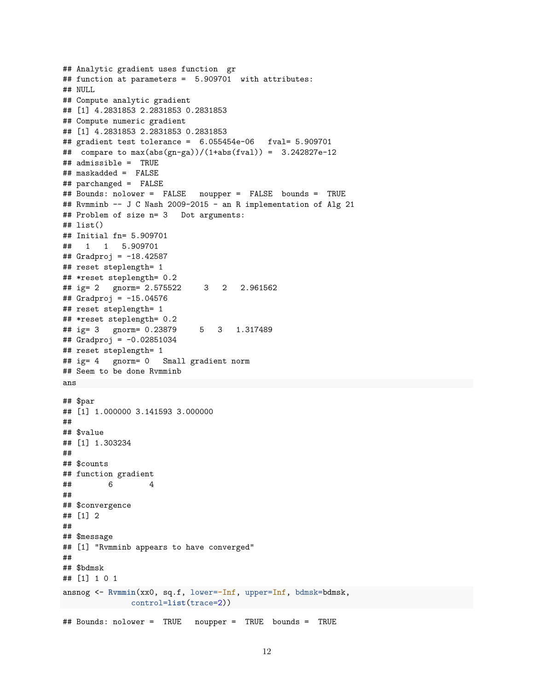```
## Analytic gradient uses function gr
## function at parameters = 5.909701 with attributes:
## NULL
## Compute analytic gradient
## [1] 4.2831853 2.2831853 0.2831853
## Compute numeric gradient
## [1] 4.2831853 2.2831853 0.2831853
## gradient test tolerance = 6.055454e-06 fval= 5.909701
## compare to max(abs(gn-ga))/(1+abs(fval)) = 3.242827e-12## admissible = TRUE
## maskadded = FALSE
## parchanged = FALSE
## Bounds: nolower = FALSE noupper = FALSE bounds = TRUE
## Rvmminb -- J C Nash 2009-2015 - an R implementation of Alg 21
## Problem of size n= 3 Dot arguments:
## list()
## Initial fn= 5.909701
## 1 1 5.909701
## Gradproj = -18.42587
## reset steplength= 1
## *reset steplength= 0.2
## ig= 2 gnorm= 2.575522 3 2 2.961562
## Gradproj = -15.04576
## reset steplength= 1
## *reset steplength= 0.2
## ig= 3 gnorm= 0.23879 5 3 1.317489
## Gradproj = -0.02851034
## reset steplength= 1
## ig= 4 gnorm= 0 Small gradient norm
## Seem to be done Rvmminb
ans
## $par
## [1] 1.000000 3.141593 3.000000
##
## $value
## [1] 1.303234
##
## $counts
## function gradient
## 6 4
##
## $convergence
## [1] 2
##
## $message
## [1] "Rvmminb appears to have converged"
##
## $bdmsk
## [1] 1 0 1
ansnog <- Rvmmin(xx0, sq.f, lower=-Inf, upper=Inf, bdmsk=bdmsk,
              control=list(trace=2))
## Bounds: nolower = TRUE noupper = TRUE bounds = TRUE
```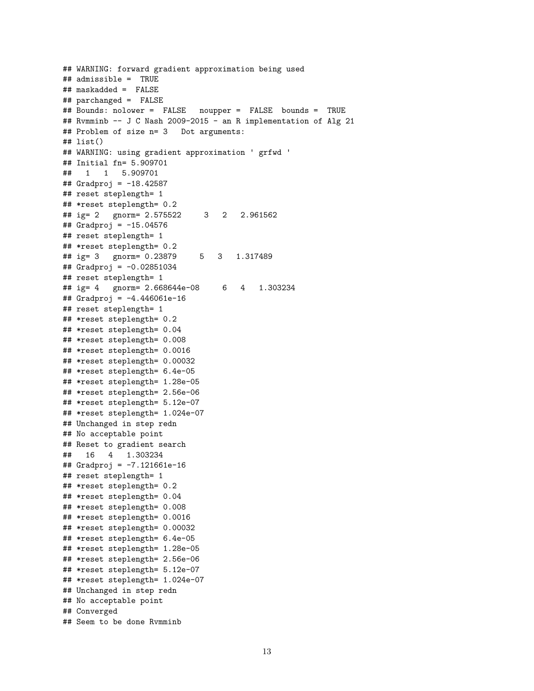```
## WARNING: forward gradient approximation being used
## admissible = TRUE
## maskadded = FALSE
## parchanged = FALSE
## Bounds: nolower = FALSE noupper = FALSE bounds = TRUE
## Rvmminb -- J C Nash 2009-2015 - an R implementation of Alg 21
## Problem of size n= 3 Dot arguments:
## list()
## WARNING: using gradient approximation ' grfwd '
## Initial fn= 5.909701
## 1 1 5.909701
## Gradproj = -18.42587
## reset steplength= 1
## *reset steplength= 0.2
## ig= 2 gnorm= 2.575522 3 2 2.961562
## Gradproj = -15.04576
## reset steplength= 1
## *reset steplength= 0.2
## ig= 3 gnorm= 0.23879 5 3 1.317489
## Gradproj = -0.02851034
## reset steplength= 1
## ig= 4 gnorm= 2.668644e-08 6 4 1.303234
## Gradproj = -4.446061e-16
## reset steplength= 1
## *reset steplength= 0.2
## *reset steplength= 0.04
## *reset steplength= 0.008
## *reset steplength= 0.0016
## *reset steplength= 0.00032
## *reset steplength= 6.4e-05
## *reset steplength= 1.28e-05
## *reset steplength= 2.56e-06
## *reset steplength= 5.12e-07
## *reset steplength= 1.024e-07
## Unchanged in step redn
## No acceptable point
## Reset to gradient search
## 16 4 1.303234
## Gradproj = -7.121661e-16
## reset steplength= 1
## *reset steplength= 0.2
## *reset steplength= 0.04
## *reset steplength= 0.008
## *reset steplength= 0.0016
## *reset steplength= 0.00032
## *reset steplength= 6.4e-05
## *reset steplength= 1.28e-05
## *reset steplength= 2.56e-06
## *reset steplength= 5.12e-07
## *reset steplength= 1.024e-07
## Unchanged in step redn
## No acceptable point
## Converged
## Seem to be done Rvmminb
```